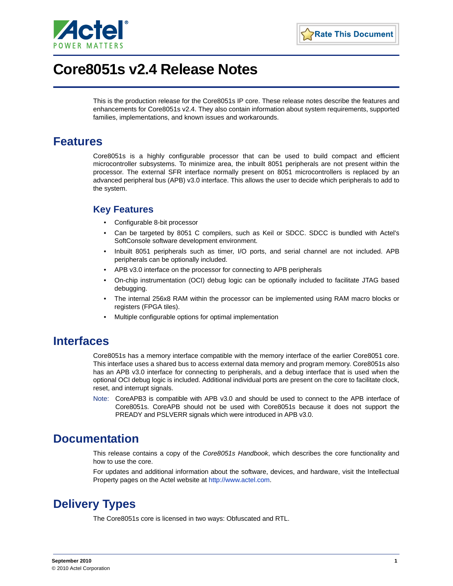

# **Core8051s v2.4 Release Notes**

This is the production release for the Core8051s IP core. These release notes describe the features and enhancements for Core8051s v2.4. They also contain information about system requirements, supported families, implementations, and known issues and workarounds.

#### **Features**

Core8051s is a highly configurable processor that can be used to build compact and efficient microcontroller subsystems. To minimize area, the inbuilt 8051 peripherals are not present within the processor. The external SFR interface normally present on 8051 microcontrollers is replaced by an advanced peripheral bus (APB) v3.0 interface. This allows the user to decide which peripherals to add to the system.

#### **Key Features**

- Configurable 8-bit processor
- Can be targeted by 8051 C compilers, such as Keil or SDCC. SDCC is bundled with Actel's SoftConsole software development environment.
- Inbuilt 8051 peripherals such as timer, I/O ports, and serial channel are not included. APB peripherals can be optionally included.
- APB v3.0 interface on the processor for connecting to APB peripherals
- On-chip instrumentation (OCI) debug logic can be optionally included to facilitate JTAG based debugging.
- The internal 256x8 RAM within the processor can be implemented using RAM macro blocks or registers (FPGA tiles).
- Multiple configurable options for optimal implementation

#### **Interfaces**

Core8051s has a memory interface compatible with the memory interface of the earlier Core8051 core. This interface uses a shared bus to access external data memory and program memory. Core8051s also has an APB v3.0 interface for connecting to peripherals, and a debug interface that is used when the optional OCI debug logic is included. Additional individual ports are present on the core to facilitate clock, reset, and interrupt signals.

Note: CoreAPB3 is compatible with APB v3.0 and should be used to connect to the APB interface of Core8051s. CoreAPB should not be used with Core8051s because it does not support the PREADY and PSLVERR signals which were introduced in APB v3.0.

#### **Documentation**

This release contains a copy of the *Core8051s Handbook*, which describes the core functionality and how to use the core.

For updates and additional information about the software, devices, and hardware, visit the Intellectual Property pages on the Actel website at [http://www.actel.com.](http://www.actel.com)

## **Delivery Types**

The Core8051s core is licensed in two ways: Obfuscated and RTL.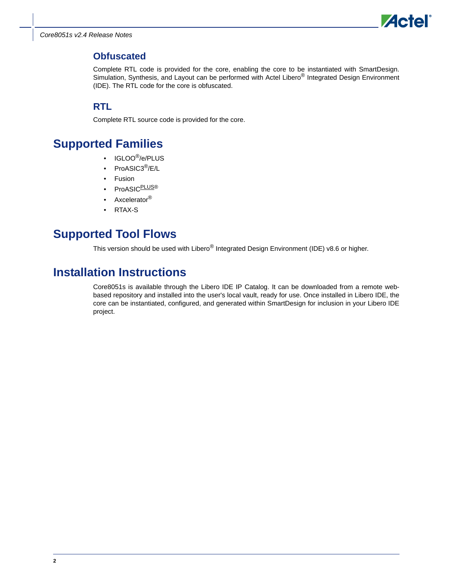

#### **Obfuscated**

Complete RTL code is provided for the core, enabling the core to be instantiated with SmartDesign. Simulation, Synthesis, and Layout can be performed with Actel Libero<sup>®</sup> Integrated Design Environment (IDE). The RTL code for the core is obfuscated.

#### **RTL**

Complete RTL source code is provided for the core.

## **Supported Families**

- IGLOO<sup>®</sup>/e/PLUS
- ProASIC3<sup>®</sup>/E/L
- Fusion
- ProASIC<sup>PLUS®</sup>
- Axcelerator<sup>®</sup>
- RTAX-S

#### **Supported Tool Flows**

This version should be used with Libero<sup>®</sup> Integrated Design Environment (IDE) v8.6 or higher.

#### **Installation Instructions**

Core8051s is available through the Libero IDE IP Catalog. It can be downloaded from a remote webbased repository and installed into the user's local vault, ready for use. Once installed in Libero IDE, the core can be instantiated, configured, and generated within SmartDesign for inclusion in your Libero IDE project.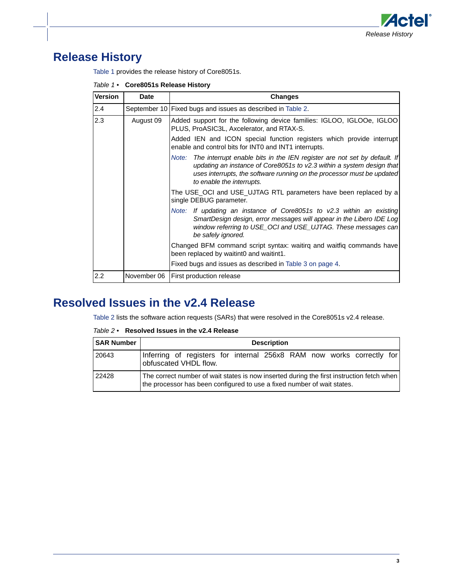

## **Release History**

|  |  |  |  |  | Table 1 provides the release history of Core8051s. |
|--|--|--|--|--|----------------------------------------------------|
|--|--|--|--|--|----------------------------------------------------|

<span id="page-2-0"></span>

| Table 1 • Core8051s Release History |  |
|-------------------------------------|--|
|-------------------------------------|--|

| <b>Version</b> | <b>Date</b> | <b>Changes</b>                                                                                                                                                                                                                                                 |
|----------------|-------------|----------------------------------------------------------------------------------------------------------------------------------------------------------------------------------------------------------------------------------------------------------------|
| 2.4            |             | September 10 Fixed bugs and issues as described in Table 2.                                                                                                                                                                                                    |
| 2.3            | August 09   | Added support for the following device families: IGLOO, IGLOOe, IGLOO<br>PLUS, ProASIC3L, Axcelerator, and RTAX-S.                                                                                                                                             |
|                |             | Added IEN and ICON special function registers which provide interrupt<br>enable and control bits for INT0 and INT1 interrupts.                                                                                                                                 |
|                |             | Note: The interrupt enable bits in the IEN register are not set by default. If<br>updating an instance of Core8051s to v2.3 within a system design that<br>uses interrupts, the software running on the processor must be updated<br>to enable the interrupts. |
|                |             | The USE_OCI and USE_UJTAG RTL parameters have been replaced by a<br>single DEBUG parameter.                                                                                                                                                                    |
|                |             | Note: If updating an instance of Core8051s to $v2.3$ within an existing<br>SmartDesign design, error messages will appear in the Libero IDE Log<br>window referring to USE_OCI and USE_UJTAG. These messages can<br>be safely ignored.                         |
|                |             | Changed BFM command script syntax: waitirg and waitfig commands have<br>been replaced by waitint0 and waitint1.                                                                                                                                                |
|                |             | Fixed bugs and issues as described in Table 3 on page 4.                                                                                                                                                                                                       |
| 2.2            |             | November 06   First production release                                                                                                                                                                                                                         |

#### **Resolved Issues in the v2.4 Release**

[Table 2](#page-2-1) lists the software action requests (SARs) that were resolved in the Core8051s v2.4 release.

<span id="page-2-1"></span>

| <b>SAR Number</b> | <b>Description</b>                                                                                                                                                   |  |  |  |
|-------------------|----------------------------------------------------------------------------------------------------------------------------------------------------------------------|--|--|--|
| 20643             | Inferring of registers for internal 256x8 RAM now works correctly for<br>obfuscated VHDL flow.                                                                       |  |  |  |
| 22428             | The correct number of wait states is now inserted during the first instruction fetch when<br>the processor has been configured to use a fixed number of wait states. |  |  |  |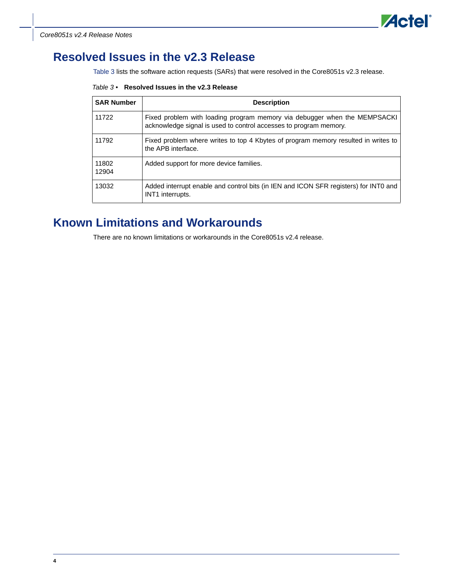

*Core8051s v2.4 Release Notes* 

### **Resolved Issues in the v2.3 Release**

[Table 3](#page-3-0) lists the software action requests (SARs) that were resolved in the Core8051s v2.3 release.

<span id="page-3-0"></span>

| Table 3 • Resolved Issues in the v2.3 Release |  |
|-----------------------------------------------|--|
|-----------------------------------------------|--|

| <b>SAR Number</b> | <b>Description</b>                                                                                                                             |  |
|-------------------|------------------------------------------------------------------------------------------------------------------------------------------------|--|
| 11722             | Fixed problem with loading program memory via debugger when the MEMPSACKI<br>acknowledge signal is used to control accesses to program memory. |  |
| 11792             | Fixed problem where writes to top 4 Kbytes of program memory resulted in writes to<br>the APB interface.                                       |  |
| 11802<br>12904    | Added support for more device families.                                                                                                        |  |
| 13032             | Added interrupt enable and control bits (in IEN and ICON SFR registers) for INT0 and<br>INT1 interrupts.                                       |  |

## **Known Limitations and Workarounds**

There are no known limitations or workarounds in the Core8051s v2.4 release.